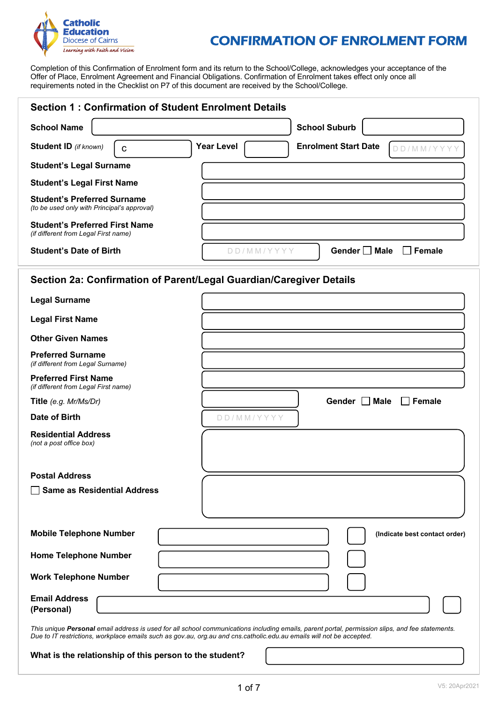

# CONFIRMATION OF ENROLMENT FORM

Completion of this Confirmation of Enrolment form and its return to the School/College, acknowledges your acceptance of the Offer of Place, Enrolment Agreement and Financial Obligations. Confirmation of Enrolment takes effect only once all requirements noted in the Checklist on P7 of this document are received by the School/College.

| <b>Section 1: Confirmation of Student Enrolment Details</b>                          |                   |                             |
|--------------------------------------------------------------------------------------|-------------------|-----------------------------|
| <b>School Name</b>                                                                   |                   | <b>School Suburb</b>        |
| <b>Student ID</b> (if known)<br>C                                                    | <b>Year Level</b> | <b>Enrolment Start Date</b> |
| <b>Student's Legal Surname</b>                                                       |                   |                             |
| <b>Student's Legal First Name</b>                                                    |                   |                             |
| <b>Student's Preferred Surname</b><br>(to be used only with Principal's approval)    |                   |                             |
| <b>Student's Preferred First Name</b><br><i>(if different from Legal First name)</i> |                   |                             |
| <b>Student's Date of Birth</b>                                                       |                   | Gender     Male<br>Female   |

### **Section 2a: Confirmation of Parent/Legal Guardian/Caregiver Details**

| <b>Legal Surname</b>                                                |                                                                                                                                                                                                                                                                         |
|---------------------------------------------------------------------|-------------------------------------------------------------------------------------------------------------------------------------------------------------------------------------------------------------------------------------------------------------------------|
| <b>Legal First Name</b>                                             |                                                                                                                                                                                                                                                                         |
| <b>Other Given Names</b>                                            |                                                                                                                                                                                                                                                                         |
| <b>Preferred Surname</b><br>(if different from Legal Surname)       |                                                                                                                                                                                                                                                                         |
| <b>Preferred First Name</b><br>(if different from Legal First name) |                                                                                                                                                                                                                                                                         |
| Title (e.g. Mr/Ms/Dr)                                               | Gender □ Male<br>$\Box$ Female                                                                                                                                                                                                                                          |
| Date of Birth                                                       | DD/MM/YYYY                                                                                                                                                                                                                                                              |
| <b>Residential Address</b><br>(not a post office box)               |                                                                                                                                                                                                                                                                         |
| <b>Postal Address</b>                                               |                                                                                                                                                                                                                                                                         |
| <b>Same as Residential Address</b>                                  |                                                                                                                                                                                                                                                                         |
| <b>Mobile Telephone Number</b>                                      | (Indicate best contact order)                                                                                                                                                                                                                                           |
| <b>Home Telephone Number</b>                                        |                                                                                                                                                                                                                                                                         |
| <b>Work Telephone Number</b>                                        |                                                                                                                                                                                                                                                                         |
| <b>Email Address</b><br>(Personal)                                  |                                                                                                                                                                                                                                                                         |
|                                                                     | This unique Personal email address is used for all school communications including emails, parent portal, permission slips, and fee statements.<br>Due to IT restrictions, workplace emails such as gov.au, org.au and cns.catholic.edu.au emails will not be accepted. |

**What is the relationship of this person to the student?**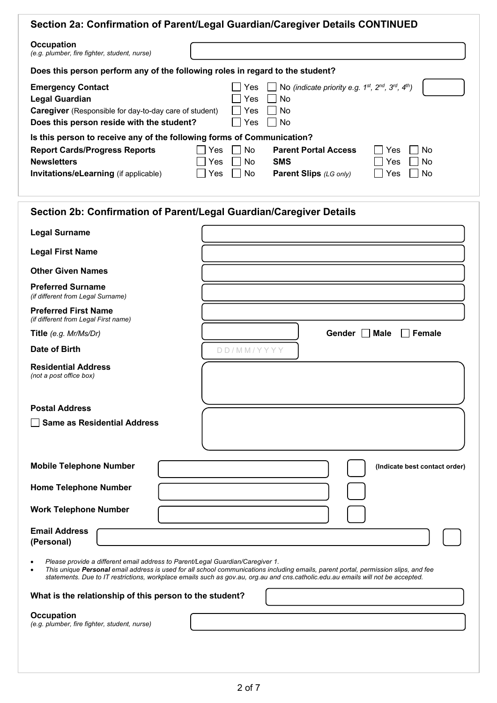|                                                                                                                                                                                                                                                                                   | Section 2a: Confirmation of Parent/Legal Guardian/Caregiver Details CONTINUED                                                                             |
|-----------------------------------------------------------------------------------------------------------------------------------------------------------------------------------------------------------------------------------------------------------------------------------|-----------------------------------------------------------------------------------------------------------------------------------------------------------|
| <b>Occupation</b><br>(e.g. plumber, fire fighter, student, nurse)                                                                                                                                                                                                                 |                                                                                                                                                           |
| Does this person perform any of the following roles in regard to the student?                                                                                                                                                                                                     |                                                                                                                                                           |
| <b>Emergency Contact</b><br><b>Legal Guardian</b><br><b>Caregiver</b> (Responsible for day-to-day care of student)<br>Does this person reside with the student?<br>Is this person to receive any of the following forms of Communication?<br><b>Report Cards/Progress Reports</b> | No (indicate priority e.g. 1st, 2nd, 3rd, 4th)<br>Yes<br>No.<br>Yes<br>No.<br>Yes<br>No.<br>Yes<br>No.<br><b>Parent Portal Access</b><br>No<br>Yes<br>Yes |
| <b>Newsletters</b>                                                                                                                                                                                                                                                                | No<br><b>SMS</b><br><b>No</b><br>Yes.<br>Yes                                                                                                              |
| <b>Invitations/eLearning (if applicable)</b>                                                                                                                                                                                                                                      | No.<br><b>Parent Slips</b> (LG only)<br>No<br>Yes<br>Yes                                                                                                  |
|                                                                                                                                                                                                                                                                                   | Section 2b: Confirmation of Parent/Legal Guardian/Caregiver Details                                                                                       |
| <b>Legal Surname</b>                                                                                                                                                                                                                                                              |                                                                                                                                                           |

D D / M M / Y Y Y Y

**Legal First Name**

**Other Given Names**

**Preferred Surname** *(if different from Legal Surname)*

**Preferred First Name** *(if different from Legal First name)*

**Title** *(e.g. Mr/Ms/Dr)* **Gender Male Female** 

**Date of Birth**

**Residential Address** *(not a post office box)*

**Postal Address** 

**Same as Residential Address** 

**Mobile Telephone Number** (Indicate best contact order)

**Home Telephone Number** 

**Work Telephone Number** 

**Email Address (Personal)** 

• *Please provide a different email address to Parent/Legal Guardian/Caregiver 1.*

• *This unique Personal email address is used for all school communications including emails, parent portal, permission slips, and fee statements. Due to IT restrictions, workplace emails such as gov.au, org.au and cns.catholic.edu.au emails will not be accepted.*

## **What is the relationship of this person to the student?**

**Occupation**

*(e.g. plumber, fire fighter, student, nurse)*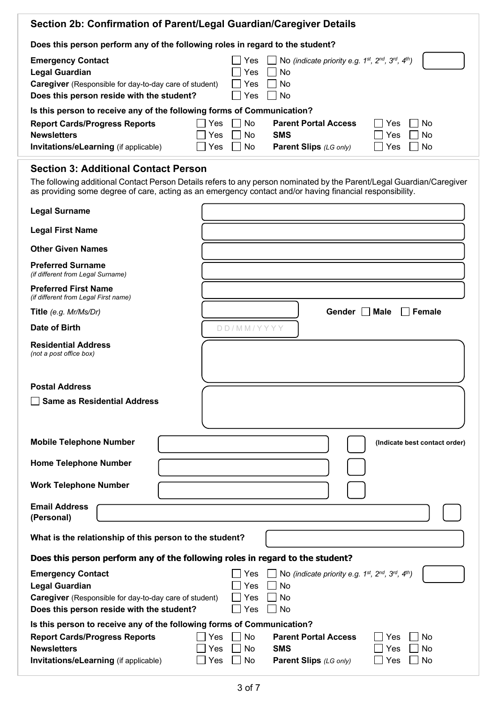| Section 2b: Confirmation of Parent/Legal Guardian/Caregiver Details                                                                                                                  |                                                                                                                                                                                                                                   |
|--------------------------------------------------------------------------------------------------------------------------------------------------------------------------------------|-----------------------------------------------------------------------------------------------------------------------------------------------------------------------------------------------------------------------------------|
| Does this person perform any of the following roles in regard to the student?                                                                                                        |                                                                                                                                                                                                                                   |
| <b>Emergency Contact</b><br>Legal Guardian<br><b>Caregiver</b> (Responsible for day-to-day care of student)<br>Does this person reside with the student?                             | No (indicate priority e.g. 1st, 2nd, 3rd, 4th)<br>Yes:<br>No.<br>Yes<br>No.<br>Yes<br>No.<br><b>Yes</b>                                                                                                                           |
| Is this person to receive any of the following forms of Communication?<br><b>Report Cards/Progress Reports</b><br><b>Newsletters</b><br><b>Invitations/eLearning</b> (if applicable) | No.<br><b>Parent Portal Access</b><br>No.<br>Yes<br>Yes<br><b>SMS</b><br>No.<br>No.<br>Yes<br>Yes<br><b>No</b><br>Yes<br>No.<br><b>Parent Slips</b> (LG only)<br>Yes                                                              |
| <b>Section 3: Additional Contact Person</b>                                                                                                                                          | The following additional Contact Person Details refers to any person nominated by the Parent/Legal Guardian/Caregiver<br>as providing some degree of care, acting as an emergency contact and/or having financial responsibility. |
| Legal Surname                                                                                                                                                                        |                                                                                                                                                                                                                                   |

| Legal Surname                                                                                                                                                   |                                                                                                                                                                                                                             |
|-----------------------------------------------------------------------------------------------------------------------------------------------------------------|-----------------------------------------------------------------------------------------------------------------------------------------------------------------------------------------------------------------------------|
| <b>Legal First Name</b>                                                                                                                                         |                                                                                                                                                                                                                             |
| <b>Other Given Names</b>                                                                                                                                        |                                                                                                                                                                                                                             |
| <b>Preferred Surname</b><br>(if different from Legal Surname)                                                                                                   |                                                                                                                                                                                                                             |
| <b>Preferred First Name</b><br>(if different from Legal First name)                                                                                             |                                                                                                                                                                                                                             |
| Title (e.g. Mr/Ms/Dr)                                                                                                                                           | Gender   Male<br>$\overline{\phantom{a}}$ Female                                                                                                                                                                            |
| Date of Birth                                                                                                                                                   | DD/MM/YYYY                                                                                                                                                                                                                  |
| <b>Residential Address</b><br>(not a post office box)                                                                                                           |                                                                                                                                                                                                                             |
| <b>Postal Address</b>                                                                                                                                           |                                                                                                                                                                                                                             |
| <b>Same as Residential Address</b>                                                                                                                              |                                                                                                                                                                                                                             |
|                                                                                                                                                                 |                                                                                                                                                                                                                             |
| <b>Mobile Telephone Number</b>                                                                                                                                  | (Indicate best contact order)                                                                                                                                                                                               |
| <b>Home Telephone Number</b>                                                                                                                                    |                                                                                                                                                                                                                             |
| <b>Work Telephone Number</b>                                                                                                                                    |                                                                                                                                                                                                                             |
| <b>Email Address</b><br>(Personal)                                                                                                                              |                                                                                                                                                                                                                             |
| What is the relationship of this person to the student?                                                                                                         |                                                                                                                                                                                                                             |
|                                                                                                                                                                 | Does this person perform any of the following roles in regard to the student?                                                                                                                                               |
| <b>Emergency Contact</b><br><b>Legal Guardian</b><br><b>Caregiver</b> (Responsible for day-to-day care of student)<br>Does this person reside with the student? | $\Box$ No (indicate priority e.g. 1st, 2nd, 3rd, 4th)<br>Yes<br>Yes $\Box$ No<br>Yes<br>No<br>Yes<br>No                                                                                                                     |
| <b>Report Cards/Progress Reports</b><br><b>Newsletters</b><br>Invitations/eLearning (if applicable)                                                             | Is this person to receive any of the following forms of Communication?<br>Yes<br>No<br><b>Parent Portal Access</b><br>Yes<br>No<br>Yes<br>No<br><b>SMS</b><br>Yes<br>No<br>Yes<br>No<br>Parent Slips (LG only)<br>Yes<br>No |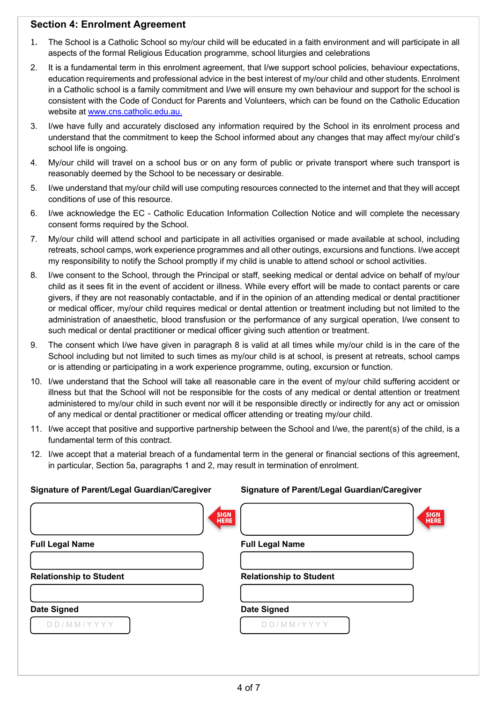## **Section 4: Enrolment Agreement**

- 1. The School is a Catholic School so my/our child will be educated in a faith environment and will participate in all aspects of the formal Religious Education programme, school liturgies and celebrations
- 2. It is a fundamental term in this enrolment agreement, that I/we support school policies, behaviour expectations, education requirements and professional advice in the best interest of my/our child and other students. Enrolment in a Catholic school is a family commitment and I/we will ensure my own behaviour and support for the school is consistent with the Code of Conduct for Parents and Volunteers, which can be found on the Catholic Education website at www.cns.catholic.edu.au.
- 3. I/we have fully and accurately disclosed any information required by the School in its enrolment process and understand that the commitment to keep the School informed about any changes that may affect my/our child's school life is ongoing.
- 4. My/our child will travel on a school bus or on any form of public or private transport where such transport is reasonably deemed by the School to be necessary or desirable.
- 5. I/we understand that my/our child will use computing resources connected to the internet and that they will accept conditions of use of this resource.
- 6. I/we acknowledge the EC Catholic Education Information Collection Notice and will complete the necessary consent forms required by the School.
- 7. My/our child will attend school and participate in all activities organised or made available at school, including retreats, school camps, work experience programmes and all other outings, excursions and functions. I/we accept my responsibility to notify the School promptly if my child is unable to attend school or school activities.
- 8. I/we consent to the School, through the Principal or staff, seeking medical or dental advice on behalf of my/our child as it sees fit in the event of accident or illness. While every effort will be made to contact parents or care givers, if they are not reasonably contactable, and if in the opinion of an attending medical or dental practitioner or medical officer, my/our child requires medical or dental attention or treatment including but not limited to the administration of anaesthetic, blood transfusion or the performance of any surgical operation, I/we consent to such medical or dental practitioner or medical officer giving such attention or treatment.
- 9. The consent which I/we have given in paragraph 8 is valid at all times while my/our child is in the care of the School including but not limited to such times as my/our child is at school, is present at retreats, school camps or is attending or participating in a work experience programme, outing, excursion or function.
- 10. I/we understand that the School will take all reasonable care in the event of my/our child suffering accident or illness but that the School will not be responsible for the costs of any medical or dental attention or treatment administered to my/our child in such event nor will it be responsible directly or indirectly for any act or omission of any medical or dental practitioner or medical officer attending or treating my/our child.
- 11. I/we accept that positive and supportive partnership between the School and I/we, the parent(s) of the child, is a fundamental term of this contract.
- 12. I/we accept that a material breach of a fundamental term in the general or financial sections of this agreement, in particular, Section 5a, paragraphs 1 and 2, may result in termination of enrolment.

| Signature of Parent/Legal Guardian/Caregiver | Signature of Parent/Legal Guardian/Caregiver |
|----------------------------------------------|----------------------------------------------|
| <b>SIGN</b><br><b>HERE</b>                   | <b>SIGN</b><br><b>HERE</b>                   |
| <b>Full Legal Name</b>                       | <b>Full Legal Name</b>                       |
|                                              |                                              |
| <b>Relationship to Student</b>               | <b>Relationship to Student</b>               |
|                                              |                                              |
| <b>Date Signed</b>                           | <b>Date Signed</b>                           |
| DD/MM/YYYY                                   | DD/MM/YYYY                                   |
|                                              |                                              |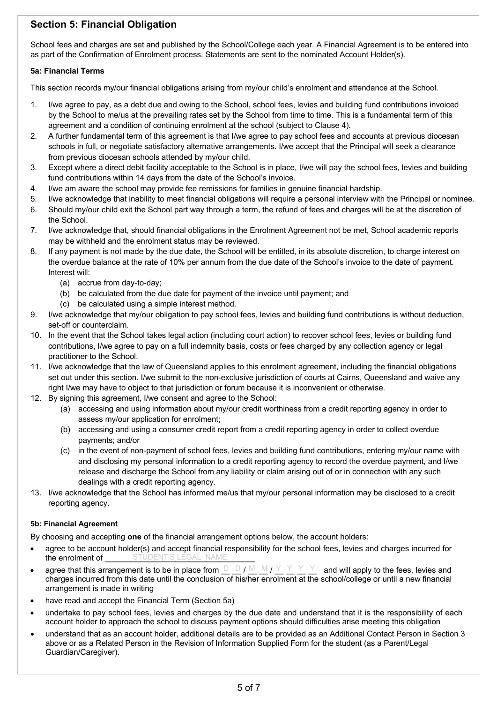# **Section 5: Financial Obligation**

School fees and charges are set and published by the School/College each year. A Financial Agreement is to be entered into as part of the Confirmation of Enrolment process. Statements are sent to the nominated Account Holder(s).

#### **5a: Financial Terms**

This section records my/our financial obligations arising from my/our child's enrolment and attendance at the School.

- 1. I/we agree to pay, as a debt due and owing to the School, school fees, levies and building fund contributions invoiced by the School to me/us at the prevailing rates set by the School from time to time. This is a fundamental term of this agreement and a condition of continuing enrolment at the school (subject to Clause 4).
- 2. A further fundamental term of this agreement is that I/we agree to pay school fees and accounts at previous diocesan schools in full, or negotiate satisfactory alternative arrangements. I/we accept that the Principal will seek a clearance from previous diocesan schools attended by my/our child.
- 3. Except where a direct debit facility acceptable to the School is in place, I/we will pay the school fees, levies and building fund contributions within 14 days from the date of the School's invoice.
- 4. I/we am aware the school may provide fee remissions for families in genuine financial hardship.
- 5. I/we acknowledge that inability to meet financial obligations will require a personal interview with the Principal or nominee.
- 6. Should my/our child exit the School part way through a term, the refund of fees and charges will be at the discretion of the School.
- 7. I/we acknowledge that, should financial obligations in the Enrolment Agreement not be met, School academic reports may be withheld and the enrolment status may be reviewed.
- 8. If any payment is not made by the due date, the School will be entitled, in its absolute discretion, to charge interest on the overdue balance at the rate of 10% per annum from the due date of the School's invoice to the date of payment. Interest will:
	- (a) accrue from day-to-day;
	- (b) be calculated from the due date for payment of the invoice until payment; and
	- (c) be calculated using a simple interest method.
- 9. I/we acknowledge that my/our obligation to pay school fees, levies and building fund contributions is without deduction, set-off or counterclaim.
- 10. In the event that the School takes legal action (including court action) to recover school fees, levies or building fund contributions, I/we agree to pay on a full indemnity basis, costs or fees charged by any collection agency or legal practitioner to the School.
- 11. I/we acknowledge that the law of Queensland applies to this enrolment agreement, including the financial obligations set out under this section. I/we submit to the non-exclusive jurisdiction of courts at Cairns. Queensland and waive any right I/we may have to object to that jurisdiction or forum because it is inconvenient or otherwise.
- 12. By signing this agreement, I/we consent and agree to the School:
	- (a) accessing and using information about my/our credit worthiness from a credit reporting agency in order to assess my/our application for enrolment;
	- (b) accessing and using a consumer credit report from a credit reporting agency in order to collect overdue payments; and/or
	- (c) in the event of non-payment of school fees, levies and building fund contributions, entering my/our name with and disclosing my personal information to a credit reporting agency to record the overdue payment, and I/we release and discharge the School from any liability or claim arising out of or in connection with any such dealings with a credit reporting agency.
- 13. I/we acknowledge that the School has informed me/us that my/our personal information may be disclosed to a credit reporting agency.

#### **5b: Financial Agreement**

By choosing and accepting **one** of the financial arrangement options below, the account holders:

- agree to be account holder(s) and accept financial responsibility for the school fees, levies and charges incurred for the enrolment of **Example 25 STUDENT'S LEGAL NAME**
- agree that this arrangement is to be in place from  $\Box \Box f \mathbb{M} \mathbb{M} f Y Y Y Y Y$  and will apply to the fees, levies and charges incurred from this date until the conclusion of his/her enrolment at the school/college or until a new financial arrangement is made in writing
- have read and accept the Financial Term (Section 5a)
- undertake to pay school fees, levies and charges by the due date and understand that it is the responsibility of each account holder to approach the school to discuss payment options should difficulties arise meeting this obligation
- understand that as an account holder, additional details are to be provided as an Additional Contact Person in Section 3 above or as a Related Person in the Revision of Information Supplied Form for the student (as a Parent/Legal Guardian/Caregiver).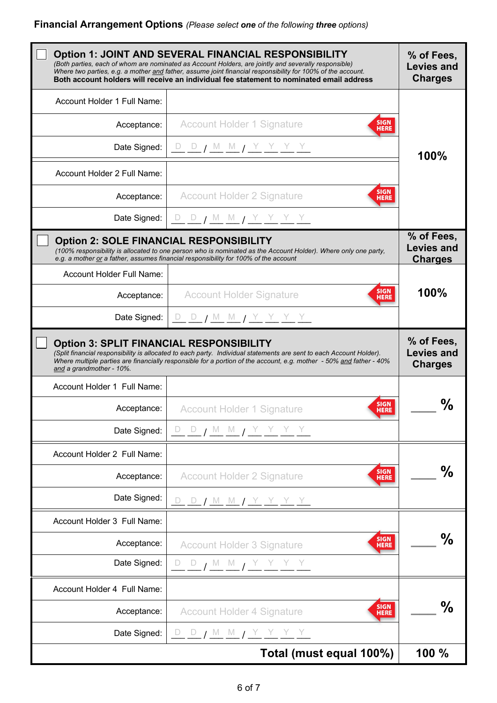|                                                                                                            | <b>Option 1: JOINT AND SEVERAL FINANCIAL RESPONSIBILITY</b><br>(Both parties, each of whom are nominated as Account Holders, are jointly and severally responsible)<br>Where two parties, e.g. a mother and father, assume joint financial responsibility for 100% of the account.<br>Both account holders will receive an individual fee statement to nominated email address | % of Fees,<br><b>Levies and</b><br><b>Charges</b> |
|------------------------------------------------------------------------------------------------------------|--------------------------------------------------------------------------------------------------------------------------------------------------------------------------------------------------------------------------------------------------------------------------------------------------------------------------------------------------------------------------------|---------------------------------------------------|
| Account Holder 1 Full Name:                                                                                |                                                                                                                                                                                                                                                                                                                                                                                |                                                   |
| Acceptance:                                                                                                | <b>SIGN</b><br><b>Account Holder 1 Signature</b><br><b>HERE</b>                                                                                                                                                                                                                                                                                                                |                                                   |
| Date Signed:                                                                                               | <u>D D / M M / Y Y Y Y Y</u>                                                                                                                                                                                                                                                                                                                                                   | 100%                                              |
| Account Holder 2 Full Name:                                                                                |                                                                                                                                                                                                                                                                                                                                                                                |                                                   |
| Acceptance:                                                                                                | <b>SIGN</b><br><b>Account Holder 2 Signature</b><br>HERE                                                                                                                                                                                                                                                                                                                       |                                                   |
| Date Signed:                                                                                               | D D J M M J Y Y Y Y                                                                                                                                                                                                                                                                                                                                                            |                                                   |
| <b>Option 2: SOLE FINANCIAL RESPONSIBILITY</b>                                                             | (100% responsibility is allocated to one person who is nominated as the Account Holder). Where only one party,<br>e.g. a mother or a father, assumes financial responsibility for 100% of the account                                                                                                                                                                          | % of Fees,<br><b>Levies and</b><br><b>Charges</b> |
| Account Holder Full Name:                                                                                  |                                                                                                                                                                                                                                                                                                                                                                                |                                                   |
| Acceptance:                                                                                                | <b>SIGN</b><br><b>Account Holder Signature</b><br><b>HERE</b>                                                                                                                                                                                                                                                                                                                  | 100%                                              |
| Date Signed:                                                                                               | <u>D D / M M / Y Y Y Y Y</u>                                                                                                                                                                                                                                                                                                                                                   |                                                   |
| <b>Option 3: SPLIT FINANCIAL RESPONSIBILITY</b><br>and a grandmother - 10%.<br>Account Holder 1 Full Name: | (Split financial responsibility is allocated to each party. Individual statements are sent to each Account Holder).<br>Where multiple parties are financially responsible for a portion of the account, e.g. mother - 50% and father - 40%                                                                                                                                     | % of Fees,<br><b>Levies and</b><br><b>Charges</b> |
|                                                                                                            | <b>SIGN</b>                                                                                                                                                                                                                                                                                                                                                                    | ℅                                                 |
| Acceptance:                                                                                                | <b>Account Holder 1 Signature</b><br><b>HERE</b>                                                                                                                                                                                                                                                                                                                               |                                                   |
| Date Signed:                                                                                               | <u>D D / M M / Y Y Y Y Y</u>                                                                                                                                                                                                                                                                                                                                                   |                                                   |
| Account Holder 2 Full Name:                                                                                |                                                                                                                                                                                                                                                                                                                                                                                |                                                   |
|                                                                                                            | <b>SIGN</b>                                                                                                                                                                                                                                                                                                                                                                    |                                                   |
| Acceptance:                                                                                                | <b>Account Holder 2 Signature</b><br><b>HERE</b>                                                                                                                                                                                                                                                                                                                               | ℅                                                 |
| Date Signed:                                                                                               | <u>D D / M M / Y Y Y Y Y</u>                                                                                                                                                                                                                                                                                                                                                   |                                                   |
| Account Holder 3 Full Name:                                                                                |                                                                                                                                                                                                                                                                                                                                                                                |                                                   |
| Acceptance:                                                                                                | <b>SIGN</b><br><b>Account Holder 3 Signature</b><br><b>HERE</b>                                                                                                                                                                                                                                                                                                                | ℅                                                 |
| Date Signed:                                                                                               | $-\frac{D}{A}$ $\frac{M}{A}$ $\frac{M}{A}$ $\frac{Y}{A}$ $\frac{Y}{A}$ $\frac{Y}{A}$ $\frac{Y}{A}$                                                                                                                                                                                                                                                                             |                                                   |
| Account Holder 4 Full Name:                                                                                |                                                                                                                                                                                                                                                                                                                                                                                |                                                   |
| Acceptance:                                                                                                | <b>SIGN</b><br><b>Account Holder 4 Signature</b><br><b>HERE</b>                                                                                                                                                                                                                                                                                                                | ℅                                                 |
| Date Signed:                                                                                               | <u>D D / M M / Y Y Y Y Y</u><br>Total (must equal 100%)                                                                                                                                                                                                                                                                                                                        |                                                   |